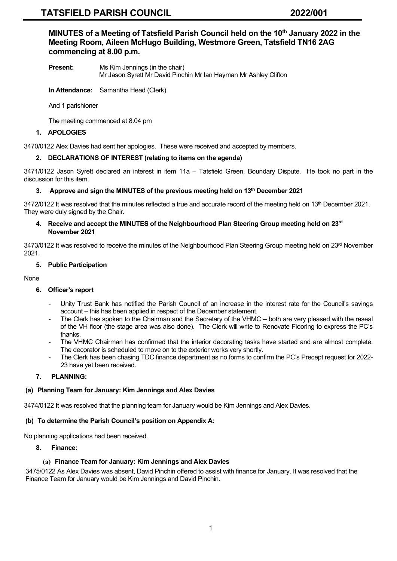**MINUTES of a Meeting of Tatsfield Parish Council held on the 10 th January 2022 in the Meeting Room, Aileen McHugo Building, Westmore Green, Tatsfield TN16 2AG commencing at 8.00 p.m.**

**Present:** Ms Kim Jennings (in the chair) Mr Jason Syrett Mr David Pinchin Mr Ian Hayman Mr Ashley Clifton

**In Attendance:** Samantha Head (Clerk)

And 1 parishioner

The meeting commenced at 8.04 pm

#### **1. APOLOGIES**

3470/0122 Alex Davies had sent her apologies. These were received and accepted by members.

#### **2. DECLARATIONS OF INTEREST (relating to items on the agenda)**

3471/0122 Jason Syrett declared an interest in item 11a – Tatsfield Green, Boundary Dispute. He took no part in the discussion for this item.

#### **3. Approve and sign the MINUTES of the previous meeting held on 13th December 2021**

3472/0122 It was resolved that the minutes reflected a true and accurate record of the meeting held on  $13<sup>th</sup>$  December 2021. They were duly signed by the Chair.

#### **4. Receive and accept the MINUTES of the Neighbourhood Plan Steering Group meeting held on 23 rd November 2021**

3473/0122 It was resolved to receive the minutes of the Neighbourhood Plan Steering Group meeting held on 23<sup>rd</sup> November 2021.

#### **5. Public Participation**

None

## **6. Officer's report**

- Unity Trust Bank has notified the Parish Council of an increase in the interest rate for the Council's savings account – this has been applied in respect of the December statement.
- The Clerk has spoken to the Chairman and the Secretary of the VHMC both are very pleased with the reseal of the VH floor (the stage area was also done). The Clerk will write to Renovate Flooring to express the PC's thanks.
- The VHMC Chairman has confirmed that the interior decorating tasks have started and are almost complete. The decorator is scheduled to move on to the exterior works very shortly.
- The Clerk has been chasing TDC finance department as no forms to confirm the PC's Precept request for 2022- 23 have yet been received.

## **7. PLANNING:**

## **(a) Planning Team for January: Kim Jennings and Alex Davies**

3474/0122 It was resolved that the planning team for January would be Kim Jennings and Alex Davies.

#### **(b) To determine the Parish Council's position on Appendix A:**

No planning applications had been received.

#### **8. Finance:**

## **(a) Finance Team for January: Kim Jennings and Alex Davies**

3475/0122 As Alex Davies was absent, David Pinchin offered to assist with finance for January. It was resolved that the Finance Team for January would be Kim Jennings and David Pinchin.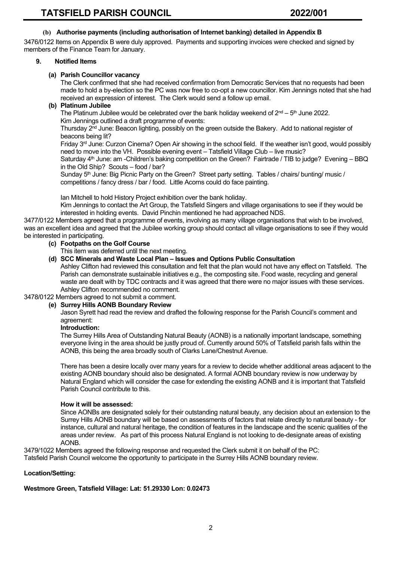## **(b) Authorise payments (including authorisation of Internet banking) detailed in Appendix B**

3476/0122 Items on Appendix B were duly approved. Payments and supporting invoices were checked and signed by members of the Finance Team for January.

#### **9. Notified Items**

#### **(a) Parish Councillor vacancy**

The Clerk confirmed that she had received confirmation from Democratic Services that no requests had been made to hold a by-election so the PC was now free to co-opt a new councillor. Kim Jennings noted that she had received an expression of interest. The Clerk would send a follow up email.

## **(b) Platinum Jubilee**

The Platinum Jubilee would be celebrated over the bank holiday weekend of 2nd – 5th June 2022. Kim Jennings outlined a draft programme of events:

Thursday  $2^{nd}$  June: Beacon lighting, possibly on the green outside the Bakery. Add to national register of beacons being lit?

Friday 3<sup>rd</sup> June: Curzon Cinema? Open Air showing in the school field. If the weather isn't good, would possibly need to move into the VH. Possible evening event – Tatsfield Village Club – live music?

Saturday  $4<sup>th</sup>$  June: am -Children's baking competition on the Green? Fairtrade / TIB to judge? Evening – BBQ in the Old Ship? Scouts – food / bar?

Sunday 5<sup>th</sup> June: Big Picnic Party on the Green? Street party setting. Tables / chairs/ bunting/ music / competitions / fancy dress / bar / food. Little Acorns could do face painting.

Ian Mitchell to hold History Project exhibition over the bank holiday.

Kim Jennings to contact the Art Group, the Tatsfield Singers and village organisations to see if they would be interested in holding events. David Pinchin mentioned he had approached NDS.

3477/0122 Members agreed that a programme of events, involving as many village organisations that wish to be involved, was an excellent idea and agreed that the Jubilee working group should contact all village organisations to see if they would be interested in participating.

#### **(c) Footpaths on the Golf Course**

This item was deferred until the next meeting.

**(d) SCC Minerals and Waste Local Plan – Issues and Options Public Consultation**

Ashley Clifton had reviewed this consultation and felt that the plan would not have any effect on Tatsfield. The Parish can demonstrate sustainable initiatives e.g., the composting site. Food waste, recycling and general waste are dealt with by TDC contracts and it was agreed that there were no major issues with these services. Ashley Clifton recommended no comment.

3478/0122 Members agreed to not submit a comment.

#### **(e) Surrey Hills AONB Boundary Review**

Jason Syrett had read the review and drafted the following response for the Parish Council's comment and agreement:

#### **Introduction:**

The Surrey Hills Area of Outstanding Natural Beauty (AONB) is a nationally important landscape, something everyone living in the area should be justly proud of. Currently around 50% of Tatsfield parish falls within the AONB, this being the area broadly south of Clarks Lane/Chestnut Avenue.

There has been a desire locally over many years for a review to decide whether additional areas adjacent to the existing AONB boundary should also be designated. A formal AONB boundary review is now underway by Natural England which will consider the case for extending the existing AONB and it is important that Tatsfield Parish Council contribute to this.

#### **How it will be assessed:**

Since AONBs are designated solely for their outstanding natural beauty, any decision about an extension to the Surrey Hills AONB boundary will be based on assessments of factors that relate directly to natural beauty - for instance, cultural and natural heritage, the condition of features in the landscape and the scenic qualities of the areas under review. As part of this process Natural England is not looking to de-designate areas of existing AONB.

3479/1022 Members agreed the following response and requested the Clerk submit it on behalf of the PC: Tatsfield Parish Council welcome the opportunity to participate in the Surrey Hills AONB boundary review.

## **Location/Setting:**

**Westmore Green, Tatsfield Village: Lat: 51.29330 Lon: 0.02473**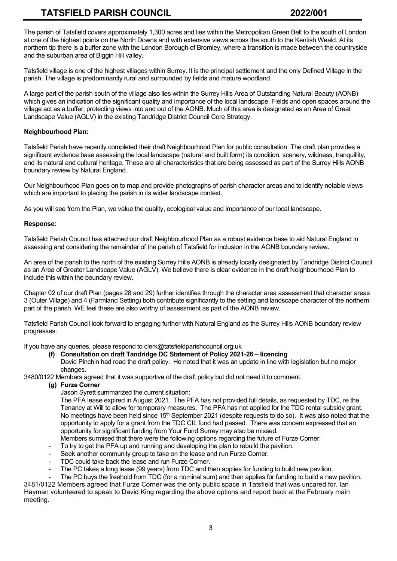The parish of Tatsfield covers approximately 1,300 acres and lies within the Metropolitan Green Belt to the south of London at one of the highest points on the North Downs and with extensive views across the south to the Kentish Weald. At its northern tip there is a buffer zone with the London Borough of Bromley, where a transition is made between the countryside and the suburban area of Biggin Hill valley.

Tatsfield village is one of the highest villages within Surrey. It is the principal settlement and the only Defined Village in the parish. The village is predominantly rural and surrounded by fields and mature woodland.

A large part of the parish south of the village also lies within the Surrey Hills Area of Outstanding Natural Beauty (AONB) which gives an indication of the significant quality and importance of the local landscape. Fields and open spaces around the village act as a buffer, protecting views into and out of the AONB. Much of this area is designated as an Area of Great Landscape Value (AGLV) in the existing Tandridge District Council Core Strategy.

## **Neighbourhood Plan:**

Tatsfield Parish have recently completed their draft Neighbourhood Plan for public consultation. The draft plan provides a significant evidence base assessing the local landscape (natural and built form) its condition, scenery, wildness, tranquillity, and its natural and cultural heritage. These are all characteristics that are being assessed as part of the Surrey Hills AONB boundary review by Natural England.

Our Neighbourhood Plan goes on to map and provide photographs of parish character areas and to identify notable views which are important to placing the parish in its wider landscape context.

As you will see from the Plan, we value the quality, ecological value and importance of our local landscape.

## **Response:**

Tatsfield Parish Council has attached our draft Neighbourhood Plan as a robust evidence base to aid Natural England in assessing and considering the remainder of the parish of Tatsfield for inclusion in the AONB boundary review.

An area of the parish to the north of the existing Surrey Hills AONB is already locally designated by Tandridge District Council as an Area of Greater Landscape Value (AGLV). We believe there is clear evidence in the draft Neighbourhood Plan to include this within the boundary review.

Chapter 02 of our draft Plan (pages 28 and 29) further identifies through the character area assessment that character areas 3 (Outer Village) and 4 (Farmland Setting) both contribute significantly to the setting and landscape character of the northern part of the parish. WE feel these are also worthy of assessment as part of the AONB review.

Tatsfield Parish Council look forward to engaging further with Natural England as the Surrey Hills AONB boundary review progresses.

If you have any queries, please respond to clerk@tatsfieldparishcouncil.org.uk

**(f) Consultation on draft Tandridge DC Statement of Policy 2021-26 – licencing** David Pinchin had read the draft policy. He noted that it was an update in line with legislation but no major changes.

3480/0122 Members agreed that it was supportive of the draft policy but did not need it to comment.

- **(g) Furze Corner**
	- Jason Syrett summarized the current situation:

The PFA lease expired in August 2021. The PFA has not provided full details, as requested by TDC, re the Tenancy at Will to allow for temporary measures. The PFA has not applied for the TDC rental subsidy grant. No meetings have been held since 15<sup>th</sup> September 2021 (despite requests to do so). It was also noted that the opportunity to apply for a grant from the TDC CIL fund had passed. There was concern expressed that an opportunity for significant funding from Your Fund Surrey may also be missed.

- Members surmised that there were the following options regarding the future of Furze Corner:
- To try to get the PFA up and running and developing the plan to rebuild the pavilion.
- Seek another community group to take on the lease and run Furze Corner.
- TDC could take back the lease and run Furze Corner.
- The PC takes a long lease (99 years) from TDC and then applies for funding to build new pavilion.

The PC buys the freehold from TDC (for a nominal sum) and then applies for funding to build a new pavilion.

3481/0122 Members agreed that Furze Corner was the only public space in Tatsfield that was uncared for. Ian Hayman volunteered to speak to David King regarding the above options and report back at the February main meeting.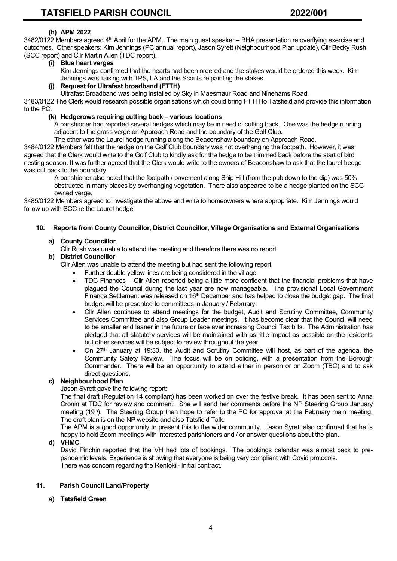## **(h) APM 2022**

3482/0122 Members agreed 4<sup>th</sup> April for the APM. The main guest speaker – BHA presentation re overflying exercise and outcomes. Other speakers: Kim Jennings (PC annual report), Jason Syrett (Neighbourhood Plan update), Cllr Becky Rush (SCC report) and Cllr Martin Allen (TDC report).

## **(i) Blue heart verges**

Kim Jennings confirmed that the hearts had been ordered and the stakes would be ordered this week. Kim Jennings was liaising with TPS, LA and the Scouts re painting the stakes.

## **(j) Request for Ultrafast broadband (FTTH)**

Ultrafast Broadband was being installed by Sky in Maesmaur Road and Ninehams Road.

3483/0122 The Clerk would research possible organisations which could bring FTTH to Tatsfield and provide this information to the PC.

## **(k) Hedgerows requiring cutting back – various locations**

A parishioner had reported several hedges which may be in need of cutting back. One was the hedge running adjacent to the grass verge on Approach Road and the boundary of the Golf Club.

The other was the Laurel hedge running along the Beaconshaw boundary on Approach Road.

3484/0122 Members felt that the hedge on the Golf Club boundary was not overhanging the footpath. However, it was agreed that the Clerk would write to the Golf Club to kindly ask for the hedge to be trimmed back before the start of bird nesting season. It was further agreed that the Clerk would write to the owners of Beaconshaw to ask that the laurel hedge was cut back to the boundary.

 A parishioner also noted that the footpath / pavement along Ship Hill (from the pub down to the dip) was 50% obstructed in many places by overhanging vegetation. There also appeared to be a hedge planted on the SCC owned verge.

3485/0122 Members agreed to investigate the above and write to homeowners where appropriate. Kim Jennings would follow up with SCC re the Laurel hedge.

## **10. Reports from County Councillor, District Councillor, Village Organisations and External Organisations**

## **a) County Councillor**

Cllr Rush was unable to attend the meeting and therefore there was no report.

## **b) District Councillor**

Cllr Allen was unable to attend the meeting but had sent the following report:

- Further double yellow lines are being considered in the village.
- TDC Finances Cllr Allen reported being a little more confident that the financial problems that have plagued the Council during the last year are now manageable. The provisional Local Government Finance Settlement was released on 16<sup>th</sup> December and has helped to close the budget gap. The final budget will be presented to committees in January / February.
- Cllr Allen continues to attend meetings for the budget, Audit and Scrutiny Committee, Community Services Committee and also Group Leader meetings. It has become clear that the Council will need to be smaller and leaner in the future or face ever increasing Council Tax bills. The Administration has pledged that all statutory services will be maintained with as little impact as possible on the residents but other services will be subject to review throughout the year.
- On 27th January at 19:30, the Audit and Scrutiny Committee will host, as part of the agenda, the Community Safety Review. The focus will be on policing, with a presentation from the Borough Commander. There will be an opportunity to attend either in person or on Zoom (TBC) and to ask direct questions.

## **c) Neighbourhood Plan**

Jason Syrett gave the following report:

The final draft (Regulation 14 compliant) has been worked on over the festive break. It has been sent to Anna Cronin at TDC for review and comment. She will send her comments before the NP Steering Group January meeting (19<sup>th</sup>). The Steering Group then hope to refer to the PC for approval at the February main meeting. The draft plan is on the NP website and also Tatsfield Talk.

The APM is a good opportunity to present this to the wider community. Jason Syrett also confirmed that he is happy to hold Zoom meetings with interested parishioners and / or answer questions about the plan.

## **d) VHMC**

David Pinchin reported that the VH had lots of bookings. The bookings calendar was almost back to prepandemic levels. Experience is showing that everyone is being very compliant with Covid protocols. There was concern regarding the Rentokil- Initial contract.

## **11. Parish Council Land/Property**

a) **Tatsfield Green**